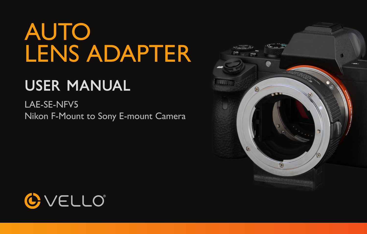# AUTO LENS ADAPTER

## User Manual

LAE-SE-NFV5 Nikon F-Mount to Sony E-mount Camera



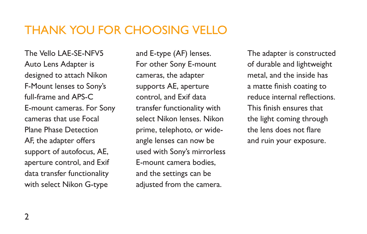#### THANK YOU FOR CHOOSING VELLO

The Vello LAE-SE-NFV5 Auto Lens Adapter is designed to attach Nikon F-Mount lenses to Sony's full-frame and APS-C E-mount cameras. For Sony cameras that use Focal Plane Phase Detection AF, the adapter offers support of autofocus, AE, aperture control, and Exif data transfer functionality with select Nikon G-type

and E-type (AF) lenses. For other Sony E-mount cameras, the adapter supports AE, aperture control, and Exif data transfer functionality with select Nikon lenses. Nikon prime, telephoto, or wideangle lenses can now be used with Sony's mirrorless E-mount camera bodies, and the settings can be adjusted from the camera.

The adapter is constructed of durable and lightweight metal, and the inside has a matte finish coating to reduce internal reflections. This finish ensures that the light coming through the lens does not flare and ruin your exposure.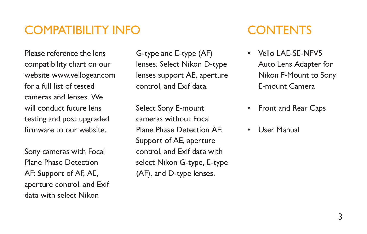#### COMPATIBILITY INFO CONTENTS

Please reference the lens compatibility chart on our website www.vellogear.com for a full list of tested cameras and lenses. We will conduct future lens testing and post upgraded firmware to our website.

Sony cameras with Focal Plane Phase Detection AF: Support of AF, AE, aperture control, and Exif data with select Nikon

G-type and E-type (AF) lenses. Select Nikon D-type lenses support AE, aperture control, and Exif data.

Select Sony E-mount cameras without Focal Plane Phase Detection AF: Support of AE, aperture control, and Exif data with select Nikon G-type, E-type (AF), and D-type lenses.

- Vello LAE-SE-NFV5 Auto Lens Adapter for Nikon F-Mount to Sony E-mount Camera
- Front and Rear Caps
- User Manual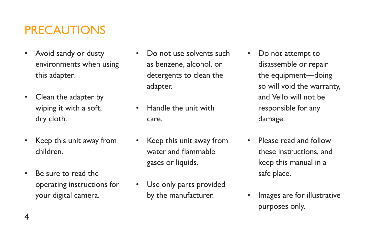### **PRECAUTIONS**

- Avoid sandy or dusty environments when using this adapter.
- Clean the adapter by wiping it with a soft, dry cloth.
- Keep this unit away from children.
- Be sure to read the operating instructions for your digital camera.
- Do not use solvents such as benzene, alcohol, or detergents to clean the adapter.
- Handle the unit with care.
- Keep this unit away from water and flammable gases or liquids.
- Use only parts provided by the manufacturer.
- Do not attempt to disassemble or repair the equipment—doing so will void the warranty, and Vello will not be responsible for any damage.
- Please read and follow these instructions, and keep this manual in a safe place.
- Images are for illustrative purposes only.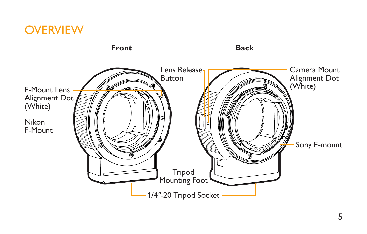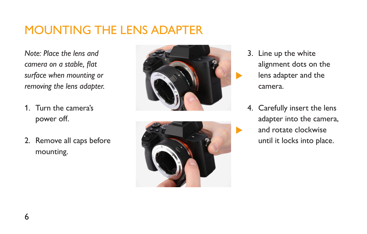### MOUNTING THE LENS ADAPTER

*Note: Place the lens and camera on a stable, flat surface when mounting or removing the lens adapter.*

- 1. Turn the camera's power off.
- 2. Remove all caps before mounting.





- 3. Line up the white alignment dots on the lens adapter and the camera.
- 4. Carefully insert the lens adapter into the camera, and rotate clockwise until it locks into place.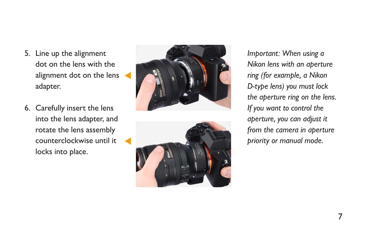- 5. Line up the alignment dot on the lens with the alignment dot on the lens adapter.
- 6. Carefully insert the lens into the lens adapter, and rotate the lens assembly counterclockwise until it locks into place.





*Important: When using a Nikon lens with an aperture ring (for example, a Nikon D-type lens) you must lock the aperture ring on the lens. If you want to control the aperture, you can adjust it from the camera in aperture priority or manual mode.*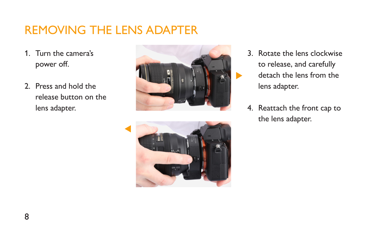#### REMOVING THE LENS ADAPTER

- 1. Turn the camera's power off.
- 2. Press and hold the release button on the lens adapter.





- 3. Rotate the lens clockwise to release, and carefully detach the lens from the lens adapter.
- 4. Reattach the front cap to the lens adapter.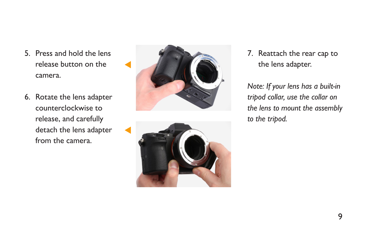- 5. Press and hold the lens release button on the camera.
- 6. Rotate the lens adapter counterclockwise to release, and carefully detach the lens adapter from the camera.





7. Reattach the rear cap to the lens adapter.

*Note: If your lens has a built-in tripod collar, use the collar on the lens to mount the assembly to the tripod.*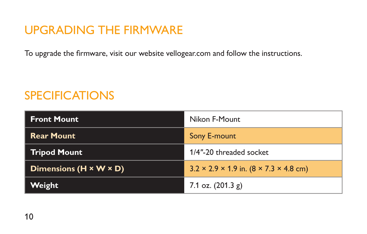#### UPGRADING THE FIRMWARE

To upgrade the firmware, visit our website vellogear.com and follow the instructions.

#### **SPECIFICATIONS**

| <b>Front Mount</b>                 | Nikon F-Mount                                                  |
|------------------------------------|----------------------------------------------------------------|
| <b>Rear Mount</b>                  | Sony E-mount                                                   |
| <b>Tripod Mount</b>                | 1/4"-20 threaded socket                                        |
| Dimensions $(H \times W \times D)$ | $3.2 \times 2.9 \times 1.9$ in. $(8 \times 7.3 \times 4.8$ cm) |
| Weight                             | 7.1 oz. $(201.3 g)$                                            |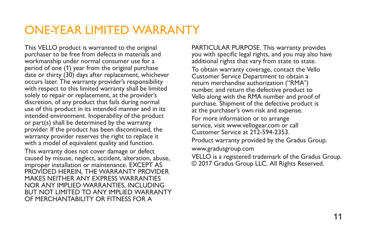#### ONE-YEAR LIMITED WARRANTY

This VELLO product is warranted to the original purchaser to be free from defects in materials and workmanship under normal consumer use for a period of one (1) year from the original purchase date or thirty (30) days after replacement, whichever occurs later. The warranty provider's responsibility with respect to this limited warranty shall be limited solely to repair or replacement, at the provider's discretion, of any product that fails during normal use of this product in its intended manner and in its intended environment. Inoperability of the product or part(s) shall be determined by the warranty provider. If the product has been discontinued, the warranty provider reserves the right to replace it with a model of equivalent quality and function. This warranty does not cover damage or defect caused by misuse, neglect, accident, alteration, abuse, improper installation or maintenance. EXCEPT AS PROVIDED HEREIN, THE WARRANTY PROVIDER MAKES NEITHER ANY EXPRESS WARRANTIES NOR ANY IMPLIED WARRANTIES, INCLUDING BUT NOT LIMITED TO ANY IMPLIED WARRANTY OF MERCHANTABILITY OR FITNESS FOR A

PARTICULAR PURPOSE. This warranty provides you with specific legal rights, and you may also have additional rights that vary from state to state. To obtain warranty coverage, contact the Vello Customer Service Department to obtain a return merchandise authorization ("RMA") number, and return the defective product to Vello along with the RMA number and proof of purchase. Shipment of the defective product is at the purchaser's own risk and expense. For more information or to arrange service, visit www.vellogear.com or call Customer Service at 212-594-2353. Product warranty provided by the Gradus Group. www.gradusgroup.com VELLO is a registered trademark of the Gradus Group. © 2017 Gradus Group LLC. All Rights Reserved.